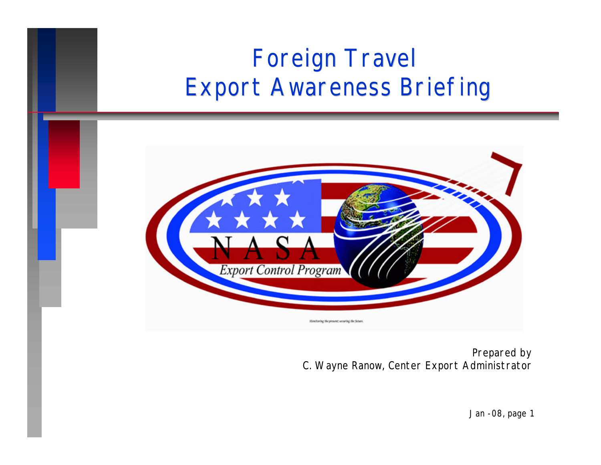## Foreign Travel Export Awareness Briefing



*Prepared by C. Wayne Ranow, Center Export Administrator*

*Jan -08, page 1*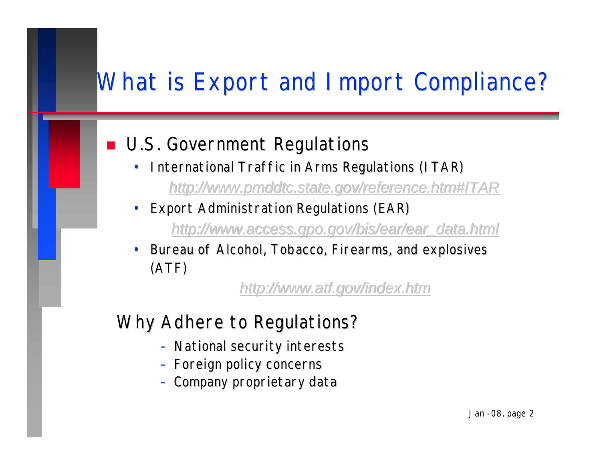#### What is Export and Import Compliance?

#### **n** U.S. Government Regulations

- International Traffic in Arms Regulations (ITAR) *http://www.pmddtc.state.gov/reference.htm#ITAR*
- Export Administration Regulations (EAR)
	- *http://www.access.gpo.gov/bis/ear/ear\_data.html*
- Bureau of Alcohol, Tobacco, Firearms, and explosives (ATF)

#### *http://www.atf.gov/index.htm*

#### Why Adhere to Regulations?

- *National security interests*
- *Foreign policy concerns*
- *Company proprietary data*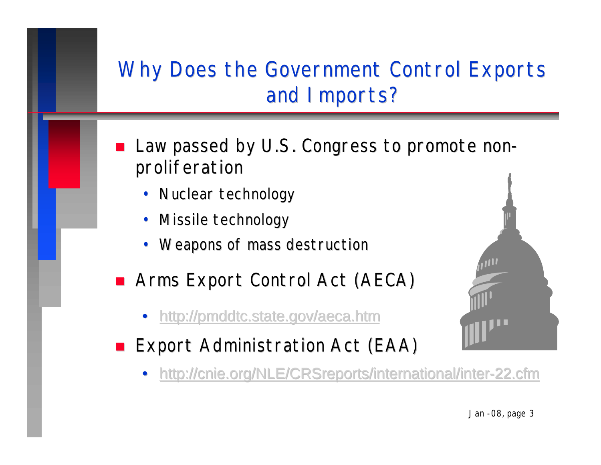#### Why Does the Government Control Exports and Imports?

- Law passed by U.S. Congress to promote nonproliferation
	- *Nuclear technology*
	- *Missile technology*
	- *Weapons of mass destruction*
- Arms Export Control Act (AECA)
	- http://pmddtc.state.gov/aeca.htm
- Export Administration Act (EAA)
	- http://cnie.org/NLE/CRSreports/international/inter-22.cfm

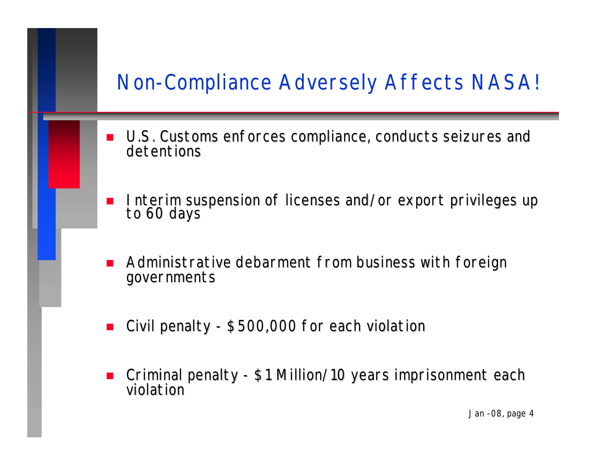#### Non-Compliance Adversely Affects NASA!

- U.S. Customs enforces compliance, conducts seizures and detentions
- Interim suspension of licenses and/or export privileges up to 60 days
- Administrative debarment from business with foreign governments
- Civil penalty \$500,000 for each violation
- n Criminal penalty \$1 Million/10 years imprisonment each violation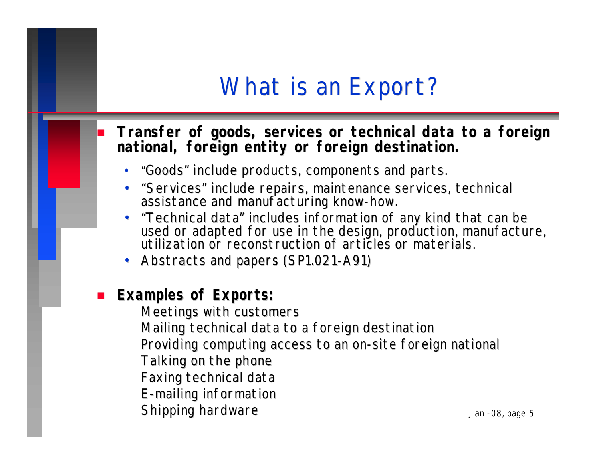#### What is an Export?

#### n **Transfer of goods, services or technical data to a foreign national, foreign entity or foreign destination.**

- "Goods" include products, components and parts.
- "Services" include repairs, maintenance services, technical assistance and manufacturing know-how.
- "Technical data" includes information of any kind that can be used or adapted for use in the design, production, manufacture, utilization or reconstruction of articles or materials.
- Abstracts and papers (SP1.021-A91)

#### **Examples of Exports:**

Meetings with customers Mailing technical data to a foreign destination Providing computing access to an on-site foreign national Talking on the phone Faxing technical data E-mailing information Shipping hardware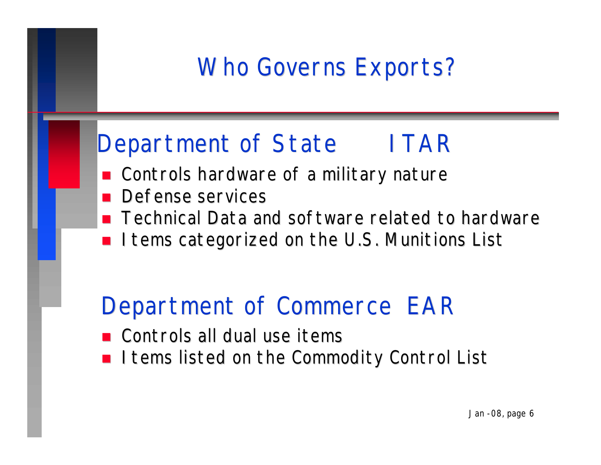### Who Governs Exports?

#### Department of State ITAR

- Controls hardware of a military nature
- Defense services
- **n** Technical Data and software related to hardware
- I tems categorized on the U.S. Munitions List

#### Department of Commerce EAR

- Controls all dual use items
- I tems listed on the Commodity Control List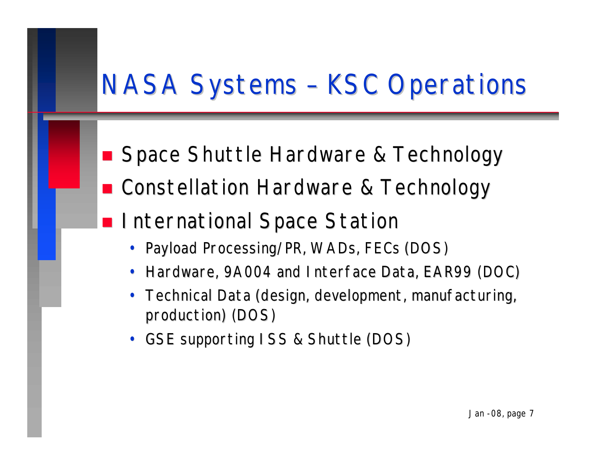# NASA Systems – KSC Operations

- Space Shuttle Hardware & Technology
- Constellation Hardware & Technology
- **n International Space Station** 
	- Payload Processing/PR, WADs, FECs (DOS)
	- Hardware, 9A004 and Interface Data, EAR99 (DOC)
	- Technical Data (design, development, manufacturing, production) (DOS)
	- GSE supporting ISS & Shuttle (DOS)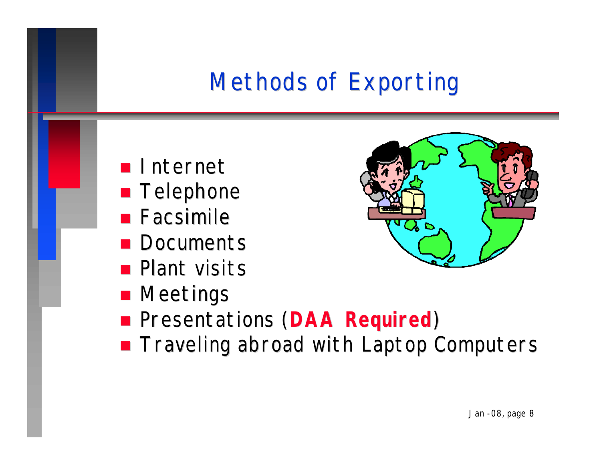# Methods of Exporting

- **n** Internet
- **n** Telephone
- $\blacksquare$  Facsimile
- **n** Documents
- **n** Plant visits
- **n** Meetings
- **n** Presentations (DAA Required)
- **n** Traveling abroad with Laptop Computers

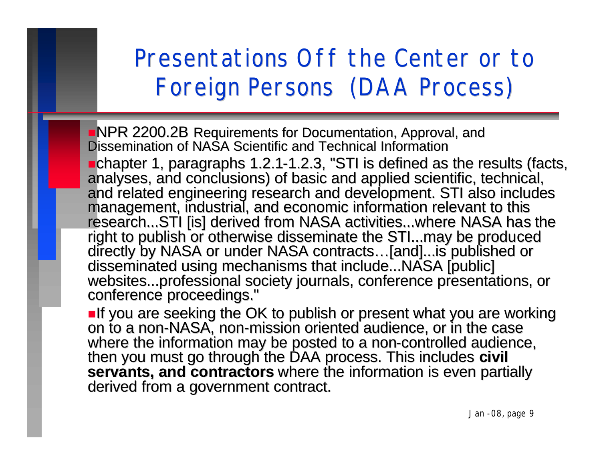#### Presentations Off the Center or to Foreign Persons (DAA Process)

**NPR 2200.2B Requirements for Documentation, Approval, and** Dissemination of NASA Scientific and Technical Information **nchapter 1, paragraphs 1.2.1-1.2.3, "STI is defined as the results (facts,** analyses, and conclusions) of basic and applied scientific, technical, and related engineering research and development. STI also includes management, industrial, and economic information relevant to this research...STI [is] derived from NASA activities...where NASA has the right to publish or otherwise disseminate the STI...may be produced directly by NASA or under NASA contracts…[and]...is published or disseminated using mechanisms that include...NASA [public] websites...professional society journals, conference presentations, or conference proceedings."

**nif you are seeking the OK to publish or present what you are working** on to a non-NASA, non-mission oriented audience, or in the case where the information may be posted to a non-controlled audience, then you must go through the DAA process. This includes **civil**  servants, and contractors where the information is even partially derived from a government contract.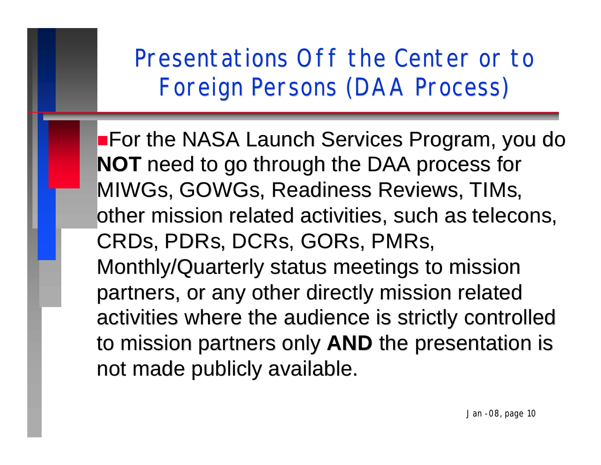Presentations Off the Center or to Foreign Persons (DAA Process)

**For the NASA Launch Services Program, you do NOT** need to go through the DAA process for MIWGs, GOWGs, Readiness Reviews, TIMs, other mission related activities, such as telecons, CRDs, PDRs, DCRs, GORs, PMRs, Monthly/Quarterly status meetings to mission partners, or any other directly mission related activities where the audience is strictly controlled to mission partners only **AND** the presentation is not made publicly available.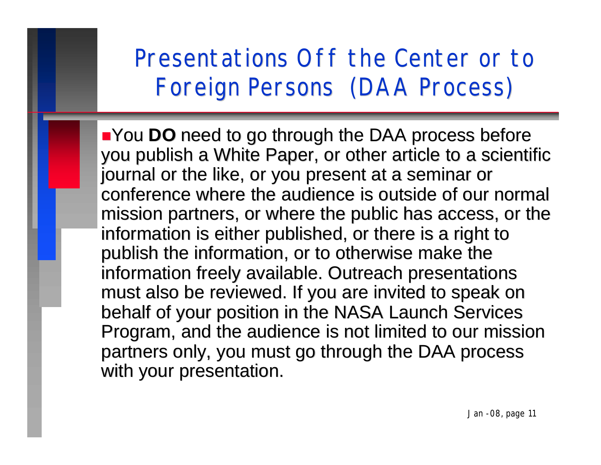Presentations Off the Center or to Foreign Persons (DAA Process)

**Nou DO** need to go through the DAA process before you publish a White Paper, or other article to a scientific journal or the like, or you present at a seminar or conference where the audience is outside of our normal mission partners, or where the public has access, or the information is either published, or there is a right to publish the information, or to otherwise make the information freely available. Outreach presentations must also be reviewed. If you are invited to speak on behalf of your position in the NASA Launch Services Program, and the audience is not limited to our mission partners only, you must go through the DAA process with your presentation.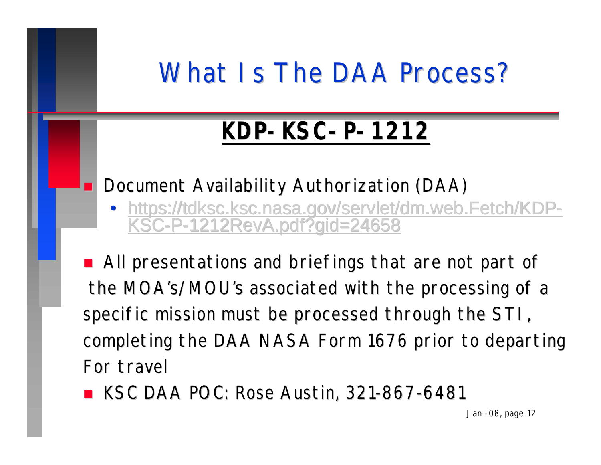# What Is The DAA Process?

# **KDP-KSC-P-1212**

#### Document Availability Authorization (DAA)

https://tdksc.ksc.nasa.gov/servlet/dm.web.Fetch/KD KSC-P-1212RevA.pdf?gid=24658

■ All presentations and briefings that are not part of the MOA's/MOU's associated with the processing of a specific mission must be processed through the STI, completing the DAA NASA Form 1676 prior to departing For travel

**NOC: Rose Austin, 321-867-6481** 

*Jan -08, page 12*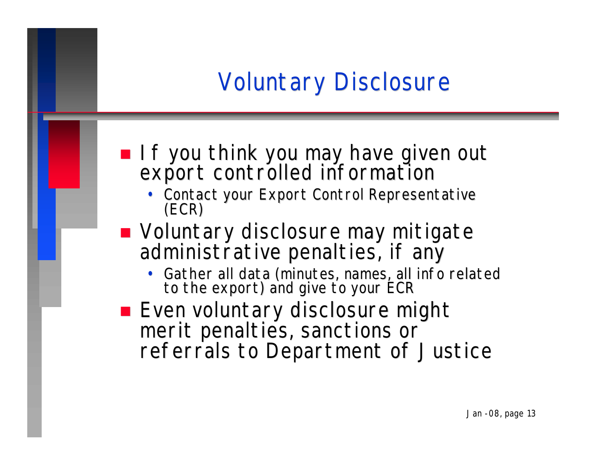## Voluntary Disclosure

- **n If you think you may have given out** export controlled information
	- Contact your Export Control Representative (ECR)
- Voluntary disclosure may mitigate administrative penalties, if any
	- Gather all data (minutes, names, all info related to the export) and give to your ECR
- **Exen voluntary disclosure might** merit penalties, sanctions or referrals to Department of Justice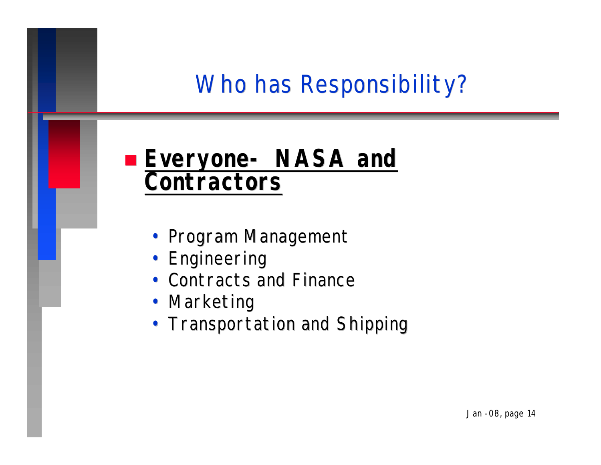#### Who has Responsibility?

#### n *Everyone- NASA and Contractors*

- Program Management
- Engineering
- Contracts and Finance
- Marketing
- Transportation and Shipping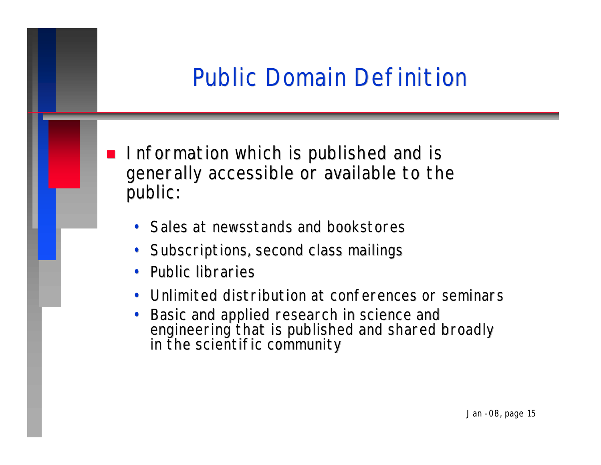## Public Domain Definition

- Information which is published and is generally accessible or available to the public:
	- Sales at newsstands and bookstores
	- Subscriptions, second class mailings
	- Public libraries
	- Unlimited distribution at conferences or seminars
	- Basic and applied research in science and engineering that is published and shared broadly in the scientific community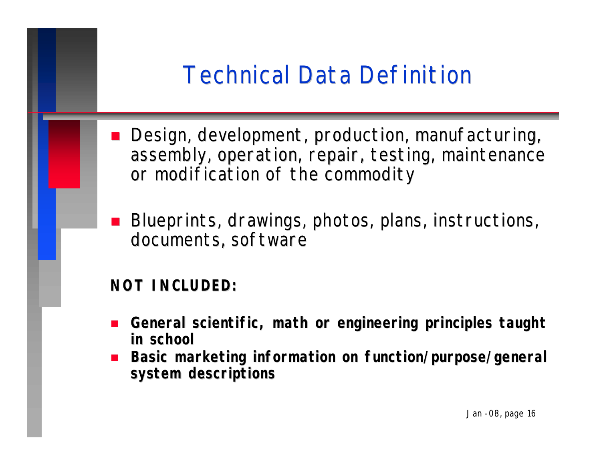### Technical Data Definition

- Design, development, production, manufacturing, assembly, operation, repair, testing, maintenance or modification of the commodity
- Blueprints, drawings, photos, plans, instructions, documents, software

**NOT INCLUDED:**

- n **General scientific, math or engineering principles taught in school**
- **n** Basic marketing information on function/purpose/general **system descriptions**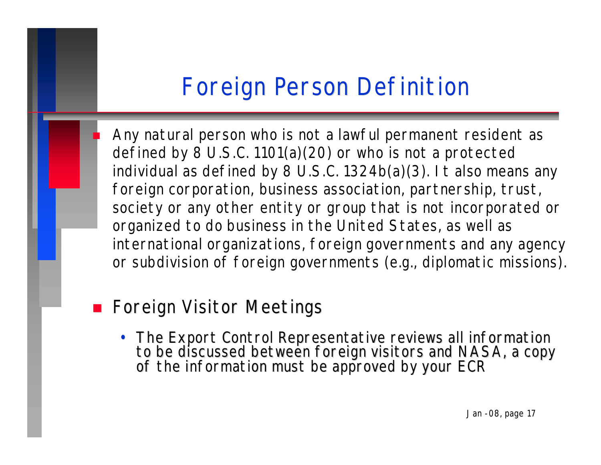### Foreign Person Definition

Any natural person who is not a lawful permanent resident as defined by 8 U.S.C. 1101(a)(20) or who is not a protected individual as defined by 8 U.S.C. 1324b(a)(3). It also means any foreign corporation, business association, partnership, trust, society or any other entity or group that is not incorporated or organized to do business in the United States, as well as international organizations, foreign governments and any agency or subdivision of foreign governments (e.g., diplomatic missions).

#### **n** Foreign Visitor Meetings

• The Export Control Representative reviews all information to be discussed between foreign visitors and NASA, a copy of the information must be approved by your ECR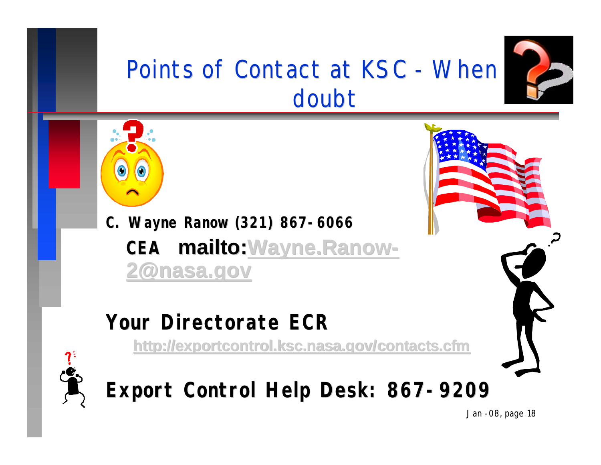

## Points of Contact at KSC - When doubt



**C. Wayne Ranow (321) 867-6066 CEA mailto:Wayne.Ranow-2@nasa.gov**

#### **Your Directorate ECR**

**http://exportcontrol.ksc.nasa.gov/contacts.cfm**



**Export Control Help Desk: 867-9209**

*Jan -08, page 18*